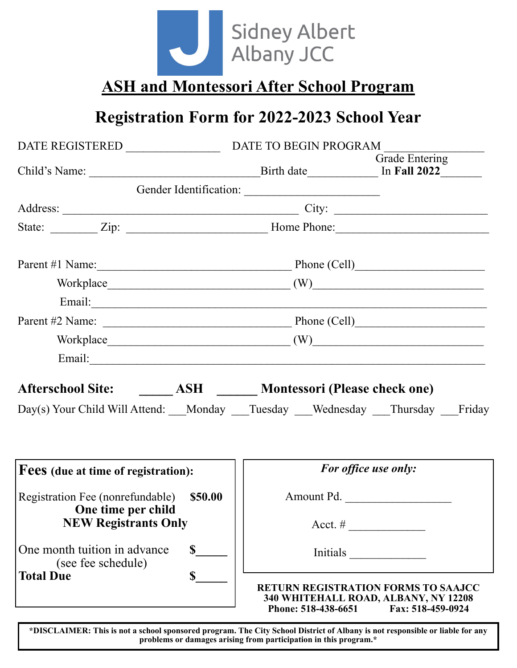

**ASH and Montessori After School Program**

## **Registration Form for 2022-2023 School Year**

|                                                                                                                                                                                                                                |                     | Grade Entering                                                                                          |  |  |
|--------------------------------------------------------------------------------------------------------------------------------------------------------------------------------------------------------------------------------|---------------------|---------------------------------------------------------------------------------------------------------|--|--|
|                                                                                                                                                                                                                                |                     |                                                                                                         |  |  |
|                                                                                                                                                                                                                                |                     |                                                                                                         |  |  |
|                                                                                                                                                                                                                                |                     |                                                                                                         |  |  |
| Parent #1 Name: Phone (Cell)                                                                                                                                                                                                   |                     |                                                                                                         |  |  |
|                                                                                                                                                                                                                                |                     |                                                                                                         |  |  |
| Email: Note and the set of the set of the set of the set of the set of the set of the set of the set of the set of the set of the set of the set of the set of the set of the set of the set of the set of the set of the set  |                     |                                                                                                         |  |  |
|                                                                                                                                                                                                                                |                     |                                                                                                         |  |  |
| $\text{Workplace} \underline{\hspace{2cm}} (W) \underline{\hspace{2cm}}$                                                                                                                                                       |                     |                                                                                                         |  |  |
| Email: exploration of the contract of the contract of the contract of the contract of the contract of the contract of the contract of the contract of the contract of the contract of the contract of the contract of the cont |                     |                                                                                                         |  |  |
| Afterschool Site: ________ ASH _______ Montessori (Please check one)                                                                                                                                                           |                     |                                                                                                         |  |  |
| Day(s) Your Child Will Attend: Monday __Tuesday __Wednesday __Thursday Friday                                                                                                                                                  |                     |                                                                                                         |  |  |
| Fees (due at time of registration):                                                                                                                                                                                            |                     | For office use only:                                                                                    |  |  |
| Registration Fee (nonrefundable) \$50.00<br><b>One time per child</b>                                                                                                                                                          |                     | Amount Pd.                                                                                              |  |  |
| <b>NEW Registrants Only</b>                                                                                                                                                                                                    |                     | Acct. # $\qquad \qquad$                                                                                 |  |  |
| $\mathbf S$<br>One month tuition in advance<br>(see fee schedule)                                                                                                                                                              |                     | Initials                                                                                                |  |  |
| $\mathbf S$<br><b>Total Due</b>                                                                                                                                                                                                | Phone: 518-438-6651 | <b>RETURN REGISTRATION FORMS TO SAAJCC</b><br>340 WHITEHALL ROAD, ALBANY, NY 12208<br>Fax: 518-459-0924 |  |  |

**\*DISCLAIMER: This is not a school sponsored program. The City School District of Albany is not responsible or liable for any problems or damages arising from participation in this program.\***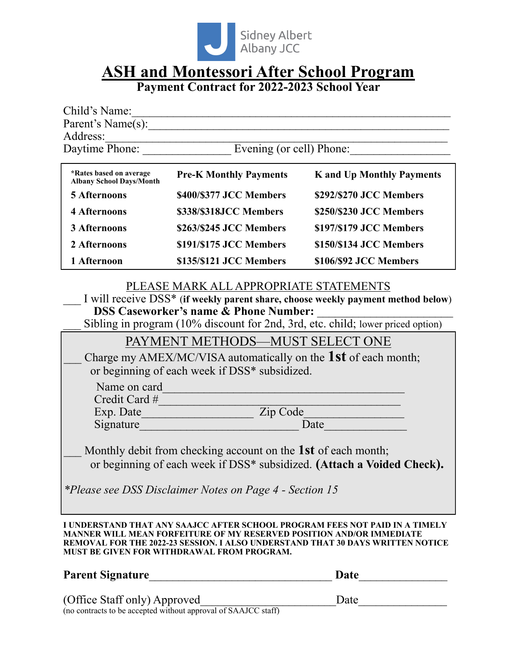

# **ASH and Montessori After School Program**

**Payment Contract for 2022-2023 School Year**

| Child's Name:                                              |                               |                                  |
|------------------------------------------------------------|-------------------------------|----------------------------------|
| Parent's Name(s):                                          |                               |                                  |
| Address:                                                   |                               |                                  |
| Daytime Phone:                                             | Evening (or cell) Phone:      |                                  |
|                                                            |                               |                                  |
| *Rates based on average<br><b>Albany School Days/Month</b> | <b>Pre-K Monthly Payments</b> | <b>K</b> and Up Monthly Payments |
| <b>5 Afternoons</b>                                        | \$400/\$377 JCC Members       | \$292/\$270 JCC Members          |
| <b>4 Afternoons</b>                                        | \$338/\$318JCC Members        | \$250/\$230 JCC Members          |
| 3 Afternoons                                               | \$263/\$245 JCC Members       | \$197/\$179 JCC Members          |

### **2 Afternoons \$191/\$175 JCC Members \$150/\$134 JCC Members 1 Afternoon \$135/\$121 JCC Members \$106/\$92 JCC Members**

#### PLEASE MARK ALL APPROPRIATE STATEMENTS

\_\_\_ I will receive DSS\* (**if weekly parent share, choose weekly payment method below**) **DSS Caseworker's name & Phone Number:** \_\_\_\_\_\_\_\_\_\_\_\_\_\_\_\_\_\_\_\_\_\_\_

\_\_\_ Sibling in program (10% discount for 2nd, 3rd, etc. child; lower priced option)

|               | PAYMENT METHODS-MUST SELECT ONE                                                                                                         |
|---------------|-----------------------------------------------------------------------------------------------------------------------------------------|
|               | Charge my AMEX/MC/VISA automatically on the 1st of each month;<br>or beginning of each week if DSS* subsidized.                         |
| Name on card  |                                                                                                                                         |
| Credit Card # |                                                                                                                                         |
| Exp. Date     | Zip Code                                                                                                                                |
| Signature     | Date                                                                                                                                    |
|               | Monthly debit from checking account on the 1st of each month;<br>or beginning of each week if DSS* subsidized. (Attach a Voided Check). |

*\*Please see DSS Disclaimer Notes on Page 4 - Section 15*

**I UNDERSTAND THAT ANY SAAJCC AFTER SCHOOL PROGRAM FEES NOT PAID IN A TIMELY MANNER WILL MEAN FORFEITURE OF MY RESERVED POSITION AND/OR IMMEDIATE REMOVAL FOR THE 2022-23 SESSION. I ALSO UNDERSTAND THAT 30 DAYS WRITTEN NOTICE MUST BE GIVEN FOR WITHDRAWAL FROM PROGRAM.**

## **Parent Signature**\_\_\_\_\_\_\_\_\_\_\_\_\_\_\_\_\_\_\_\_\_\_\_\_\_\_\_\_\_\_\_ **Date**\_\_\_\_\_\_\_\_\_\_\_\_\_\_\_ (Office Staff only) Approved Date ( $\sim$  2002 2001)  $\mu$  Approved<br>(no contracts to be accepted without approval of SAAJCC staff)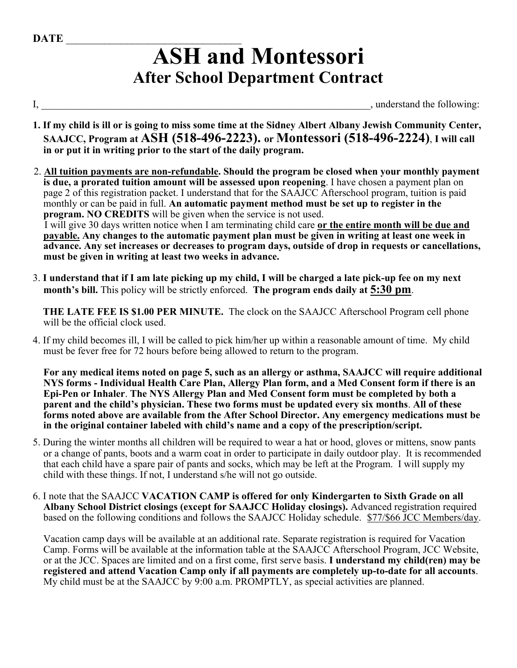# **ASH and Montessori After School Department Contract**

I, \_\_\_\_\_\_\_\_\_\_\_\_\_\_\_\_\_\_\_\_\_\_\_\_\_\_\_\_\_\_\_\_\_\_\_\_\_\_\_\_\_\_\_\_\_\_\_\_\_\_\_\_\_\_\_\_\_\_\_\_\_\_\_\_\_, understand the following:

- **1. If my child is ill or is going to miss some time at the Sidney Albert Albany Jewish Community Center, SAAJCC, Program at ASH (518-496-2223). or Montessori (518-496-2224)**, **I will call in or put it in writing prior to the start of the daily program.**
- 2. **All tuition payments are non-refundable. Should the program be closed when your monthly payment is due, a prorated tuition amount will be assessed upon reopening**. I have chosen a payment plan on page 2 of this registration packet. I understand that for the SAAJCC Afterschool program, tuition is paid monthly or can be paid in full. **An automatic payment method must be set up to register in the program. NO CREDITS** will be given when the service is not used. I will give 30 days written notice when I am terminating child care **or the entire month will be due and payable. Any changes to the automatic payment plan must be given in writing at least one week in advance. Any set increases or decreases to program days, outside of drop in requests or cancellations, must be given in writing at least two weeks in advance.**
- 3. **I understand that if I am late picking up my child, I will be charged a late pick-up fee on my next month's bill.** This policy will be strictly enforced. **The program ends daily at 5:30 pm**.

 **THE LATE FEE IS \$1.00 PER MINUTE.** The clock on the SAAJCC Afterschool Program cell phone will be the official clock used.

4. If my child becomes ill, I will be called to pick him/her up within a reasonable amount of time. My child must be fever free for 72 hours before being allowed to return to the program.

**For any medical items noted on page 5, such as an allergy or asthma, SAAJCC will require additional NYS forms - Individual Health Care Plan, Allergy Plan form, and a Med Consent form if there is an Epi-Pen or Inhaler**. **The NYS Allergy Plan and Med Consent form must be completed by both a parent and the child's physician. These two forms must be updated every six months**. **All of these forms noted above are available from the After School Director. Any emergency medications must be in the original container labeled with child's name and a copy of the prescription/script.** 

- 5. During the winter months all children will be required to wear a hat or hood, gloves or mittens, snow pants or a change of pants, boots and a warm coat in order to participate in daily outdoor play. It is recommended that each child have a spare pair of pants and socks, which may be left at the Program. I will supply my child with these things. If not, I understand s/he will not go outside.
- 6. I note that the SAAJCC **VACATION CAMP is offered for only Kindergarten to Sixth Grade on all Albany School District closings (except for SAAJCC Holiday closings).** Advanced registration required based on the following conditions and follows the SAAJCC Holiday schedule. \$77/\$66 JCC Members/day.

Vacation camp days will be available at an additional rate. Separate registration is required for Vacation Camp. Forms will be available at the information table at the SAAJCC Afterschool Program, JCC Website, or at the JCC. Spaces are limited and on a first come, first serve basis. **I understand my child(ren) may be registered and attend Vacation Camp only if all payments are completely up-to-date for all accounts**. My child must be at the SAAJCC by 9:00 a.m. PROMPTLY, as special activities are planned.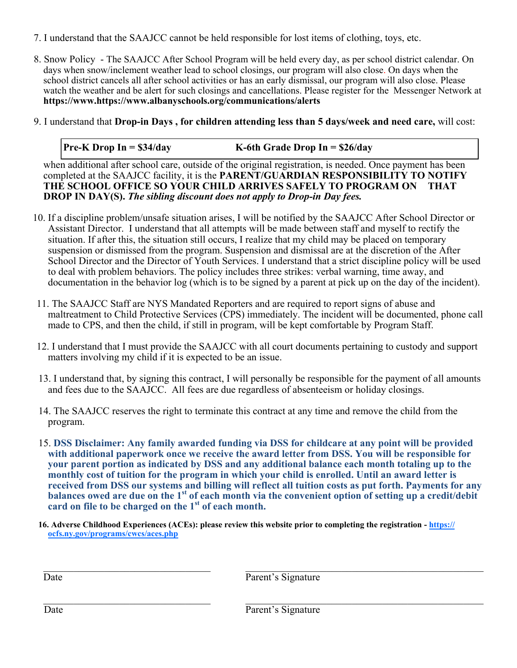- 7. I understand that the SAAJCC cannot be held responsible for lost items of clothing, toys, etc.
- 8. Snow Policy The SAAJCC After School Program will be held every day, as per school district calendar. On days when snow/inclement weather lead to school closings, our program will also close. On days when the school district cancels all after school activities or has an early dismissal, our program will also close. Please watch the weather and be alert for such closings and cancellations. Please register for the Messenger Network at **https://www.https://www.albanyschools.org/communications/alerts**
- 9. I understand that **Drop-in Days , for children attending less than 5 days/week and need care,** will cost:

#### **Pre-K Drop In = \$34/day K-6th Grade Drop In = \$26/day**

when additional after school care, outside of the original registration, is needed. Once payment has been completed at the SAAJCC facility, it is the **PARENT/GUARDIAN RESPONSIBILITY TO NOTIFY THE SCHOOL OFFICE SO YOUR CHILD ARRIVES SAFELY TO PROGRAM ON THAT DROP IN DAY(S).** *The sibling discount does not apply to Drop-in Day fees.*

- 10. If a discipline problem/unsafe situation arises, I will be notified by the SAAJCC After School Director or Assistant Director. I understand that all attempts will be made between staff and myself to rectify the situation. If after this, the situation still occurs, I realize that my child may be placed on temporary suspension or dismissed from the program. Suspension and dismissal are at the discretion of the After School Director and the Director of Youth Services. I understand that a strict discipline policy will be used to deal with problem behaviors. The policy includes three strikes: verbal warning, time away, and documentation in the behavior log (which is to be signed by a parent at pick up on the day of the incident).
- 11. The SAAJCC Staff are NYS Mandated Reporters and are required to report signs of abuse and maltreatment to Child Protective Services (CPS) immediately. The incident will be documented, phone call made to CPS, and then the child, if still in program, will be kept comfortable by Program Staff.
- 12. I understand that I must provide the SAAJCC with all court documents pertaining to custody and support matters involving my child if it is expected to be an issue.
- 13. I understand that, by signing this contract, I will personally be responsible for the payment of all amounts and fees due to the SAAJCC. All fees are due regardless of absenteeism or holiday closings.
- 14. The SAAJCC reserves the right to terminate this contract at any time and remove the child from the program.
- 15. **DSS Disclaimer: Any family awarded funding via DSS for childcare at any point will be provided with additional paperwork once we receive the award letter from DSS. You will be responsible for your parent portion as indicated by DSS and any additional balance each month totaling up to the monthly cost of tuition for the program in which your child is enrolled. Until an award letter is received from DSS our systems and billing will reflect all tuition costs as put forth. Payments for any balances owed are due on the 1st of each month via the convenient option of setting up a credit/debit card on file to be charged on the 1st of each month.**
- **16. Adverse Childhood Experiences (ACEs): please review this website prior to completing the registration [https://](https://ocfs.ny.gov/programs/cwcs/aces.php) [ocfs.ny.gov/programs/cwcs/aces.php](https://ocfs.ny.gov/programs/cwcs/aces.php)**

Date Parent's Signature

Date Parent's Signature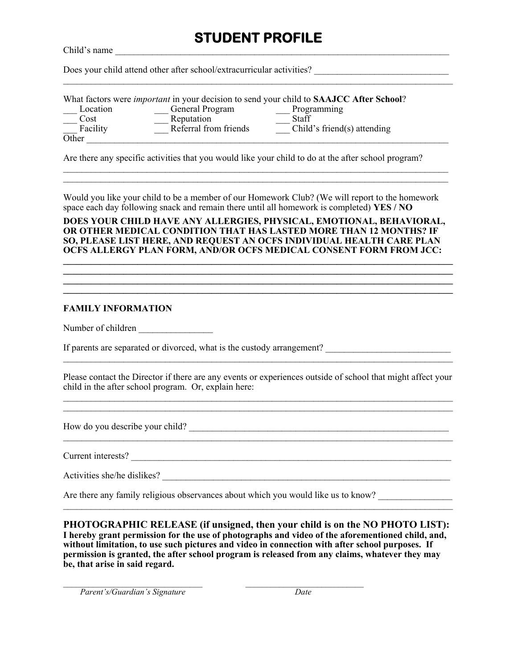## **STUDENT PROFILE**

Child's name

Does your child attend other after school/extracurricular activities?

|                           |                       | What factors were <i>important</i> in your decision to send your child to SAAJCC After School? |
|---------------------------|-----------------------|------------------------------------------------------------------------------------------------|
| Location                  | General Program       | Programming                                                                                    |
| Cost                      | Reputation            | Staff                                                                                          |
| Facility                  | Referral from friends | Child's friend(s) attending                                                                    |
| $\overline{\text{Other}}$ |                       |                                                                                                |

Are there any specific activities that you would like your child to do at the after school program?

Would you like your child to be a member of our Homework Club? (We will report to the homework space each day following snack and remain there until all homework is completed) **YES / NO**

 $\mathcal{L}_\mathcal{L} = \{ \mathcal{L}_\mathcal{L} = \{ \mathcal{L}_\mathcal{L} = \{ \mathcal{L}_\mathcal{L} = \{ \mathcal{L}_\mathcal{L} = \{ \mathcal{L}_\mathcal{L} = \{ \mathcal{L}_\mathcal{L} = \{ \mathcal{L}_\mathcal{L} = \{ \mathcal{L}_\mathcal{L} = \{ \mathcal{L}_\mathcal{L} = \{ \mathcal{L}_\mathcal{L} = \{ \mathcal{L}_\mathcal{L} = \{ \mathcal{L}_\mathcal{L} = \{ \mathcal{L}_\mathcal{L} = \{ \mathcal{L}_\mathcal{$  $\mathcal{L}_\mathcal{L} = \{ \mathcal{L}_\mathcal{L} = \{ \mathcal{L}_\mathcal{L} = \{ \mathcal{L}_\mathcal{L} = \{ \mathcal{L}_\mathcal{L} = \{ \mathcal{L}_\mathcal{L} = \{ \mathcal{L}_\mathcal{L} = \{ \mathcal{L}_\mathcal{L} = \{ \mathcal{L}_\mathcal{L} = \{ \mathcal{L}_\mathcal{L} = \{ \mathcal{L}_\mathcal{L} = \{ \mathcal{L}_\mathcal{L} = \{ \mathcal{L}_\mathcal{L} = \{ \mathcal{L}_\mathcal{L} = \{ \mathcal{L}_\mathcal{$ 

#### **DOES YOUR CHILD HAVE ANY ALLERGIES, PHYSICAL, EMOTIONAL, BEHAVIORAL, OR OTHER MEDICAL CONDITION THAT HAS LASTED MORE THAN 12 MONTHS? IF SO, PLEASE LIST HERE, AND REQUEST AN OCFS INDIVIDUAL HEALTH CARE PLAN OCFS ALLERGY PLAN FORM, AND/OR OCFS MEDICAL CONSENT FORM FROM JCC: \_\_\_\_\_\_\_\_\_\_\_\_\_\_\_\_\_\_\_\_\_\_\_\_\_\_\_\_\_\_\_\_\_\_\_\_\_\_\_\_\_\_\_\_\_\_\_\_\_\_\_\_\_\_\_\_\_\_\_\_\_\_\_\_\_\_\_\_\_\_\_\_\_\_\_\_\_\_\_\_\_\_\_\_**

**\_\_\_\_\_\_\_\_\_\_\_\_\_\_\_\_\_\_\_\_\_\_\_\_\_\_\_\_\_\_\_\_\_\_\_\_\_\_\_\_\_\_\_\_\_\_\_\_\_\_\_\_\_\_\_\_\_\_\_\_\_\_\_\_\_\_\_\_\_\_\_\_\_\_\_\_\_\_\_\_\_\_\_\_ \_\_\_\_\_\_\_\_\_\_\_\_\_\_\_\_\_\_\_\_\_\_\_\_\_\_\_\_\_\_\_\_\_\_\_\_\_\_\_\_\_\_\_\_\_\_\_\_\_\_\_\_\_\_\_\_\_\_\_\_\_\_\_\_\_\_\_\_\_\_\_\_\_\_\_\_\_\_\_\_\_\_\_\_ \_\_\_\_\_\_\_\_\_\_\_\_\_\_\_\_\_\_\_\_\_\_\_\_\_\_\_\_\_\_\_\_\_\_\_\_\_\_\_\_\_\_\_\_\_\_\_\_\_\_\_\_\_\_\_\_\_\_\_\_\_\_\_\_\_\_\_\_\_\_\_\_\_\_\_\_\_\_\_\_\_\_\_\_**

#### **FAMILY INFORMATION**

Number of children

If parents are separated or divorced, what is the custody arrangement?

Please contact the Director if there are any events or experiences outside of school that might affect your child in the after school program. Or, explain here:  $\mathcal{L}_\mathcal{L} = \{ \mathcal{L}_\mathcal{L} = \{ \mathcal{L}_\mathcal{L} = \{ \mathcal{L}_\mathcal{L} = \{ \mathcal{L}_\mathcal{L} = \{ \mathcal{L}_\mathcal{L} = \{ \mathcal{L}_\mathcal{L} = \{ \mathcal{L}_\mathcal{L} = \{ \mathcal{L}_\mathcal{L} = \{ \mathcal{L}_\mathcal{L} = \{ \mathcal{L}_\mathcal{L} = \{ \mathcal{L}_\mathcal{L} = \{ \mathcal{L}_\mathcal{L} = \{ \mathcal{L}_\mathcal{L} = \{ \mathcal{L}_\mathcal{$ 

 $\_$  , and the set of the set of the set of the set of the set of the set of the set of the set of the set of the set of the set of the set of the set of the set of the set of the set of the set of the set of the set of th

 $\mathcal{L}_\mathcal{L} = \{ \mathcal{L}_\mathcal{L} = \{ \mathcal{L}_\mathcal{L} = \{ \mathcal{L}_\mathcal{L} = \{ \mathcal{L}_\mathcal{L} = \{ \mathcal{L}_\mathcal{L} = \{ \mathcal{L}_\mathcal{L} = \{ \mathcal{L}_\mathcal{L} = \{ \mathcal{L}_\mathcal{L} = \{ \mathcal{L}_\mathcal{L} = \{ \mathcal{L}_\mathcal{L} = \{ \mathcal{L}_\mathcal{L} = \{ \mathcal{L}_\mathcal{L} = \{ \mathcal{L}_\mathcal{L} = \{ \mathcal{L}_\mathcal{$ 

How do you describe your child? \_\_\_\_\_\_\_\_\_\_\_\_\_\_\_\_\_\_\_\_\_\_\_\_\_\_\_\_\_\_\_\_\_\_\_\_\_\_\_\_\_\_\_\_\_\_\_\_\_\_\_\_\_\_\_\_

Current interests?

Activities she/he dislikes?

Are there any family religious observances about which you would like us to know?

 $\mathcal{L}_\text{max}$ 

**PHOTOGRAPHIC RELEASE (if unsigned, then your child is on the NO PHOTO LIST): I hereby grant permission for the use of photographs and video of the aforementioned child, and, without limitation, to use such pictures and video in connection with after school purposes. If permission is granted, the after school program is released from any claims, whatever they may be, that arise in said regard.**

 $\mathcal{L}_\mathcal{L} = \{ \mathcal{L}_\mathcal{L} = \{ \mathcal{L}_\mathcal{L} = \{ \mathcal{L}_\mathcal{L} = \{ \mathcal{L}_\mathcal{L} = \{ \mathcal{L}_\mathcal{L} = \{ \mathcal{L}_\mathcal{L} = \{ \mathcal{L}_\mathcal{L} = \{ \mathcal{L}_\mathcal{L} = \{ \mathcal{L}_\mathcal{L} = \{ \mathcal{L}_\mathcal{L} = \{ \mathcal{L}_\mathcal{L} = \{ \mathcal{L}_\mathcal{L} = \{ \mathcal{L}_\mathcal{L} = \{ \mathcal{L}_\mathcal{$ 

 *Parent's/Guardian's Signature Date*